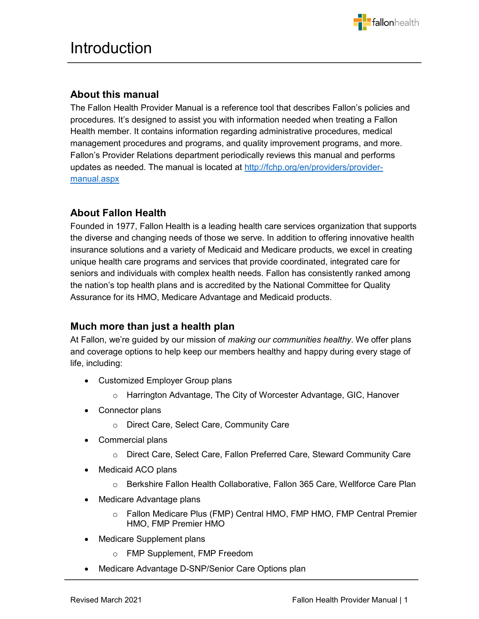

## **About this manual**

The Fallon Health Provider Manual is a reference tool that describes Fallon's policies and procedures. It's designed to assist you with information needed when treating a Fallon Health member. It contains information regarding administrative procedures, medical management procedures and programs, and quality improvement programs, and more. Fallon's Provider Relations department periodically reviews this manual and performs updates as needed. The manual is located at [http://fchp.org/en/providers/provider](http://fchp.org/en/providers/provider-manual.aspx)[manual.aspx](http://fchp.org/en/providers/provider-manual.aspx)

j

## **About Fallon Health**

Founded in 1977, Fallon Health is a leading health care services organization that supports the diverse and changing needs of those we serve. In addition to offering innovative health insurance solutions and a variety of Medicaid and Medicare products, we excel in creating unique health care programs and services that provide coordinated, integrated care for seniors and individuals with complex health needs. Fallon has consistently ranked among the nation's top health plans and is accredited by the National Committee for Quality Assurance for its HMO, Medicare Advantage and Medicaid products.

## **Much more than just a health plan**

At Fallon, we're guided by our mission of *making our communities healthy*. We offer plans and coverage options to help keep our members healthy and happy during every stage of life, including:

- Customized Employer Group plans
	- o Harrington Advantage, The City of Worcester Advantage, GIC, Hanover
- Connector plans
	- o Direct Care, Select Care, Community Care
- Commercial plans
	- o Direct Care, Select Care, Fallon Preferred Care, Steward Community Care
- Medicaid ACO plans
	- o Berkshire Fallon Health Collaborative, Fallon 365 Care, Wellforce Care Plan
- Medicare Advantage plans
	- o Fallon Medicare Plus (FMP) Central HMO, FMP HMO, FMP Central Premier HMO, FMP Premier HMO
- Medicare Supplement plans
	- o FMP Supplement, FMP Freedom
- Medicare Advantage D-SNP/Senior Care Options plan